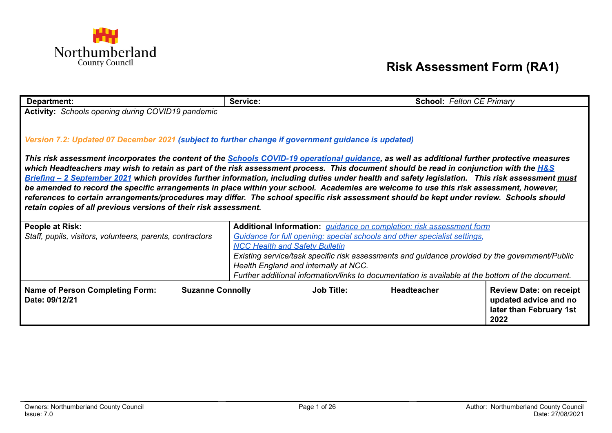

## **Risk Assessment Form (RA1)**

| Department:                                                                                                                                                                                                                                                                          | Service:                                                                                          | <b>School: Felton CE Primary</b> |                                |  |
|--------------------------------------------------------------------------------------------------------------------------------------------------------------------------------------------------------------------------------------------------------------------------------------|---------------------------------------------------------------------------------------------------|----------------------------------|--------------------------------|--|
| <b>Activity:</b> Schools opening during COVID19 pandemic                                                                                                                                                                                                                             |                                                                                                   |                                  |                                |  |
|                                                                                                                                                                                                                                                                                      |                                                                                                   |                                  |                                |  |
|                                                                                                                                                                                                                                                                                      |                                                                                                   |                                  |                                |  |
| Version 7.2: Updated 07 December 2021 (subject to further change if government guidance is updated)                                                                                                                                                                                  |                                                                                                   |                                  |                                |  |
|                                                                                                                                                                                                                                                                                      |                                                                                                   |                                  |                                |  |
| This risk assessment incorporates the content of the <b>Schools COVID-19 operational guidance</b> , as well as additional further protective measures                                                                                                                                |                                                                                                   |                                  |                                |  |
| which Headteachers may wish to retain as part of the risk assessment process. This document should be read in conjunction with the <b>H&amp;S</b>                                                                                                                                    |                                                                                                   |                                  |                                |  |
| Briefing - 2 September 2021 which provides further information, including duties under health and safety legislation. This risk assessment must                                                                                                                                      |                                                                                                   |                                  |                                |  |
| be amended to record the specific arrangements in place within your school. Academies are welcome to use this risk assessment, however,<br>references to certain arrangements/procedures may differ. The school specific risk assessment should be kept under review. Schools should |                                                                                                   |                                  |                                |  |
| retain copies of all previous versions of their risk assessment.                                                                                                                                                                                                                     |                                                                                                   |                                  |                                |  |
|                                                                                                                                                                                                                                                                                      |                                                                                                   |                                  |                                |  |
| <b>People at Risk:</b>                                                                                                                                                                                                                                                               | Additional Information: <i>quidance on completion: risk assessment form</i>                       |                                  |                                |  |
| Staff, pupils, visitors, volunteers, parents, contractors                                                                                                                                                                                                                            | Guidance for full opening: special schools and other specialist settings,                         |                                  |                                |  |
|                                                                                                                                                                                                                                                                                      | <b>NCC Health and Safety Bulletin</b>                                                             |                                  |                                |  |
|                                                                                                                                                                                                                                                                                      | Existing service/task specific risk assessments and guidance provided by the government/Public    |                                  |                                |  |
|                                                                                                                                                                                                                                                                                      | Health England and internally at NCC.                                                             |                                  |                                |  |
|                                                                                                                                                                                                                                                                                      | Further additional information/links to documentation is available at the bottom of the document. |                                  |                                |  |
| <b>Name of Person Completing Form:</b><br><b>Suzanne Connolly</b>                                                                                                                                                                                                                    | <b>Job Title:</b>                                                                                 | <b>Headteacher</b>               | <b>Review Date: on receipt</b> |  |
| Date: 09/12/21                                                                                                                                                                                                                                                                       |                                                                                                   |                                  | updated advice and no          |  |
|                                                                                                                                                                                                                                                                                      |                                                                                                   |                                  | later than February 1st        |  |
|                                                                                                                                                                                                                                                                                      |                                                                                                   |                                  | 2022                           |  |
|                                                                                                                                                                                                                                                                                      |                                                                                                   |                                  |                                |  |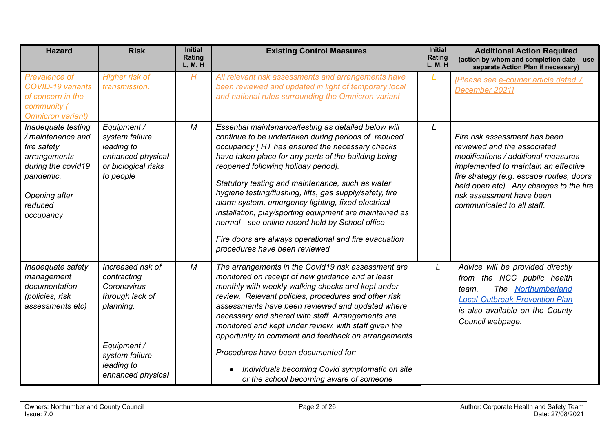| <b>Hazard</b>                                                                                                                                      | <b>Risk</b>                                                                                                                                         | <b>Initial</b><br>Rating<br>L, M, H | <b>Existing Control Measures</b>                                                                                                                                                                                                                                                                                                                                                                                                                                                                                                                                                                                                            | <b>Initial</b><br>Rating<br>L, M, H | <b>Additional Action Required</b><br>(action by whom and completion date - use<br>separate Action Plan if necessary)                                                                                                                                                                          |
|----------------------------------------------------------------------------------------------------------------------------------------------------|-----------------------------------------------------------------------------------------------------------------------------------------------------|-------------------------------------|---------------------------------------------------------------------------------------------------------------------------------------------------------------------------------------------------------------------------------------------------------------------------------------------------------------------------------------------------------------------------------------------------------------------------------------------------------------------------------------------------------------------------------------------------------------------------------------------------------------------------------------------|-------------------------------------|-----------------------------------------------------------------------------------------------------------------------------------------------------------------------------------------------------------------------------------------------------------------------------------------------|
| <b>Prevalence of</b><br><b>COVID-19 variants</b><br>of concern in the<br>community (<br><b>Omnicron variant)</b>                                   | <b>Higher risk of</b><br>transmission.                                                                                                              | H                                   | All relevant risk assessments and arrangements have<br>been reviewed and updated in light of temporary local<br>and national rules surrounding the Omnicron variant                                                                                                                                                                                                                                                                                                                                                                                                                                                                         | L                                   | [Please see e-courier article dated 7<br>December 20211                                                                                                                                                                                                                                       |
| Inadequate testing<br>/ maintenance and<br>fire safety<br>arrangements<br>during the covid19<br>pandemic.<br>Opening after<br>reduced<br>occupancy | Equipment /<br>system failure<br>leading to<br>enhanced physical<br>or biological risks<br>to people                                                | M                                   | Essential maintenance/testing as detailed below will<br>continue to be undertaken during periods of reduced<br>occupancy [HT has ensured the necessary checks<br>have taken place for any parts of the building being<br>reopened following holiday period].<br>Statutory testing and maintenance, such as water<br>hygiene testing/flushing, lifts, gas supply/safety, fire<br>alarm system, emergency lighting, fixed electrical<br>installation, play/sporting equipment are maintained as<br>normal - see online record held by School office<br>Fire doors are always operational and fire evacuation<br>procedures have been reviewed | L                                   | Fire risk assessment has been<br>reviewed and the associated<br>modifications / additional measures<br>implemented to maintain an effective<br>fire strategy (e.g. escape routes, doors<br>held open etc). Any changes to the fire<br>risk assessment have been<br>communicated to all staff. |
| Inadequate safety<br>management<br>documentation<br>(policies, risk<br>assessments etc)                                                            | Increased risk of<br>contracting<br>Coronavirus<br>through lack of<br>planning.<br>Equipment /<br>system failure<br>leading to<br>enhanced physical | $\boldsymbol{M}$                    | The arrangements in the Covid19 risk assessment are<br>monitored on receipt of new guidance and at least<br>monthly with weekly walking checks and kept under<br>review. Relevant policies, procedures and other risk<br>assessments have been reviewed and updated where<br>necessary and shared with staff. Arrangements are<br>monitored and kept under review, with staff given the<br>opportunity to comment and feedback on arrangements.<br>Procedures have been documented for:<br>Individuals becoming Covid symptomatic on site<br>or the school becoming aware of someone                                                        | L                                   | Advice will be provided directly<br>from the NCC public health<br>The Northumberland<br>team.<br><b>Local Outbreak Prevention Plan</b><br>is also available on the County<br>Council webpage.                                                                                                 |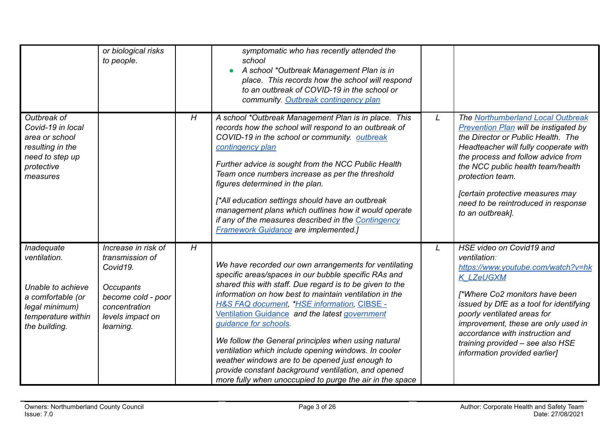|                                                                                                                                      | or biological risks<br>to people.                                                                                                              |   | symptomatic who has recently attended the<br>school<br>A school *Outbreak Management Plan is in<br>place. This records how the school will respond<br>to an outbreak of COVID-19 in the school or<br>community. Outbreak contingency plan                                                                                                                                                                                                                                                                                                                                                                                                                     |   |                                                                                                                                                                                                                                                                                                                                                                |
|--------------------------------------------------------------------------------------------------------------------------------------|------------------------------------------------------------------------------------------------------------------------------------------------|---|---------------------------------------------------------------------------------------------------------------------------------------------------------------------------------------------------------------------------------------------------------------------------------------------------------------------------------------------------------------------------------------------------------------------------------------------------------------------------------------------------------------------------------------------------------------------------------------------------------------------------------------------------------------|---|----------------------------------------------------------------------------------------------------------------------------------------------------------------------------------------------------------------------------------------------------------------------------------------------------------------------------------------------------------------|
| Outbreak of<br>Covid-19 in local<br>area or school<br>resulting in the<br>need to step up<br>protective<br>measures                  |                                                                                                                                                | H | A school *Outbreak Management Plan is in place. This<br>records how the school will respond to an outbreak of<br>COVID-19 in the school or community. outbreak<br>contingency plan<br>Further advice is sought from the NCC Public Health<br>Team once numbers increase as per the threshold<br>figures determined in the plan.<br>[*All education settings should have an outbreak<br>management plans which outlines how it would operate<br>if any of the measures described in the Contingency<br><b>Framework Guidance are implemented.]</b>                                                                                                             | L | The Northumberland Local Outbreak<br><b>Prevention Plan will be instigated by</b><br>the Director or Public Health. The<br>Headteacher will fully cooperate with<br>the process and follow advice from<br>the NCC public health team/health<br>protection team.<br>[certain protective measures may<br>need to be reintroduced in response<br>to an outbreak]. |
| <b>Inadequate</b><br>ventilation.<br>Unable to achieve<br>a comfortable (or<br>legal minimum)<br>temperature within<br>the building. | Increase in risk of<br>transmission of<br>Covid19.<br><b>Occupants</b><br>become cold - poor<br>concentration<br>levels impact on<br>learning. | H | We have recorded our own arrangements for ventilating<br>specific areas/spaces in our bubble specific RAs and<br>shared this with staff. Due regard is to be given to the<br>information on how best to maintain ventilation in the<br><b>H&amp;S FAQ document, *HSE information, CIBSE -</b><br>Ventilation Guidance and the latest government<br>guidance for schools.<br>We follow the General principles when using natural<br>ventilation which include opening windows. In cooler<br>weather windows are to be opened just enough to<br>provide constant background ventilation, and opened<br>more fully when unoccupied to purge the air in the space | L | HSE video on Covid19 and<br>ventilation:<br>https://www.youtube.com/watch?v=hk<br><b>K LZeUGXM</b><br>[*Where Co2 monitors have been<br>issued by DfE as a tool for identifying<br>poorly ventilated areas for<br>improvement, these are only used in<br>accordance with instruction and<br>training provided - see also HSE<br>information provided earlier]  |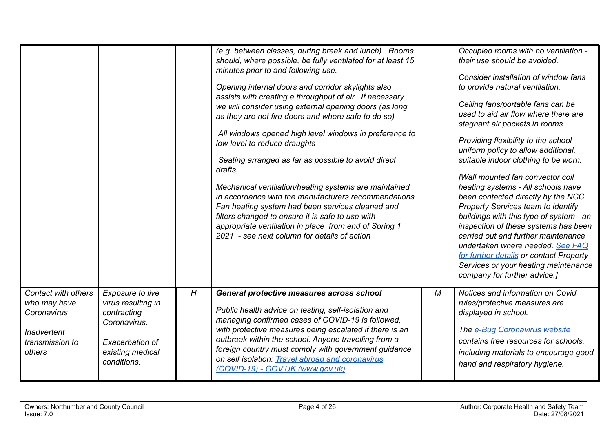|                                                                                                |                                                                                                                             |   | (e.g. between classes, during break and lunch). Rooms<br>should, where possible, be fully ventilated for at least 15<br>minutes prior to and following use.<br>Opening internal doors and corridor skylights also<br>assists with creating a throughput of air. If necessary<br>we will consider using external opening doors (as long<br>as they are not fire doors and where safe to do so)<br>All windows opened high level windows in preference to<br>low level to reduce draughts<br>Seating arranged as far as possible to avoid direct<br>drafts.<br>Mechanical ventilation/heating systems are maintained<br>in accordance with the manufacturers recommendations.<br>Fan heating system had been services cleaned and<br>filters changed to ensure it is safe to use with<br>appropriate ventilation in place from end of Spring 1<br>2021 - see next column for details of action |   | Occupied rooms with no ventilation -<br>their use should be avoided.<br>Consider installation of window fans<br>to provide natural ventilation.<br>Ceiling fans/portable fans can be<br>used to aid air flow where there are<br>stagnant air pockets in rooms.<br>Providing flexibility to the school<br>uniform policy to allow additional,<br>suitable indoor clothing to be worn.<br>[Wall mounted fan convector coil<br>heating systems - All schools have<br>been contacted directly by the NCC<br>Property Services team to identify<br>buildings with this type of system - an<br>inspection of these systems has been<br>carried out and further maintenance<br>undertaken where needed. See FAQ<br>for further details or contact Property<br>Services or your heating maintenance<br>company for further advice.] |
|------------------------------------------------------------------------------------------------|-----------------------------------------------------------------------------------------------------------------------------|---|----------------------------------------------------------------------------------------------------------------------------------------------------------------------------------------------------------------------------------------------------------------------------------------------------------------------------------------------------------------------------------------------------------------------------------------------------------------------------------------------------------------------------------------------------------------------------------------------------------------------------------------------------------------------------------------------------------------------------------------------------------------------------------------------------------------------------------------------------------------------------------------------|---|-----------------------------------------------------------------------------------------------------------------------------------------------------------------------------------------------------------------------------------------------------------------------------------------------------------------------------------------------------------------------------------------------------------------------------------------------------------------------------------------------------------------------------------------------------------------------------------------------------------------------------------------------------------------------------------------------------------------------------------------------------------------------------------------------------------------------------|
| Contact with others<br>who may have<br>Coronavirus<br>Inadvertent<br>transmission to<br>others | Exposure to live<br>virus resulting in<br>contracting<br>Coronavirus.<br>Exacerbation of<br>existing medical<br>conditions. | H | General protective measures across school<br>Public health advice on testing, self-isolation and<br>managing confirmed cases of COVID-19 is followed,<br>with protective measures being escalated if there is an<br>outbreak within the school. Anyone travelling from a<br>foreign country must comply with government guidance<br>on self isolation: Travel abroad and coronavirus<br>(COVID-19) - GOV.UK (www.gov.uk)                                                                                                                                                                                                                                                                                                                                                                                                                                                                     | M | Notices and information on Covid<br>rules/protective measures are<br>displayed in school.<br>The e-Bug Coronavirus website<br>contains free resources for schools,<br>including materials to encourage good<br>hand and respiratory hygiene.                                                                                                                                                                                                                                                                                                                                                                                                                                                                                                                                                                                |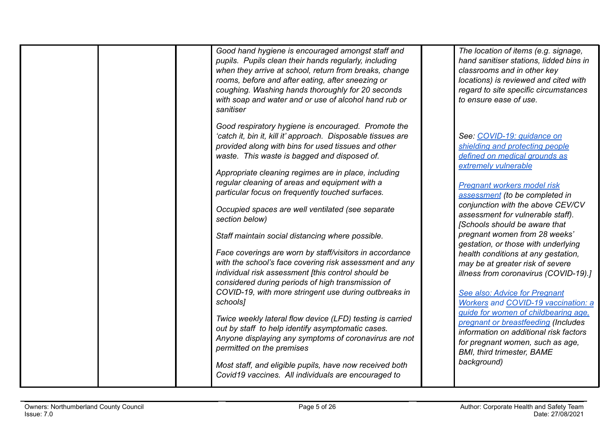| Good hand hygiene is encouraged amongst staff and<br>pupils. Pupils clean their hands regularly, including<br>when they arrive at school, return from breaks, change<br>rooms, before and after eating, after sneezing or<br>coughing. Washing hands thoroughly for 20 seconds<br>with soap and water and or use of alcohol hand rub or<br>sanitiser | The location of items (e.g. signage,<br>hand sanitiser stations, lidded bins in<br>classrooms and in other key<br>locations) is reviewed and cited with<br>regard to site specific circumstances<br>to ensure ease of use. |
|------------------------------------------------------------------------------------------------------------------------------------------------------------------------------------------------------------------------------------------------------------------------------------------------------------------------------------------------------|----------------------------------------------------------------------------------------------------------------------------------------------------------------------------------------------------------------------------|
| Good respiratory hygiene is encouraged. Promote the                                                                                                                                                                                                                                                                                                  | See: COVID-19: quidance on                                                                                                                                                                                                 |
| 'catch it, bin it, kill it' approach. Disposable tissues are                                                                                                                                                                                                                                                                                         | shielding and protecting people                                                                                                                                                                                            |
| provided along with bins for used tissues and other                                                                                                                                                                                                                                                                                                  | defined on medical grounds as                                                                                                                                                                                              |
| waste. This waste is bagged and disposed of.                                                                                                                                                                                                                                                                                                         | extremely vulnerable                                                                                                                                                                                                       |
| Appropriate cleaning regimes are in place, including                                                                                                                                                                                                                                                                                                 | <b>Pregnant workers model risk</b>                                                                                                                                                                                         |
| regular cleaning of areas and equipment with a                                                                                                                                                                                                                                                                                                       | assessment (to be completed in                                                                                                                                                                                             |
| particular focus on frequently touched surfaces.                                                                                                                                                                                                                                                                                                     | conjunction with the above CEV/CV                                                                                                                                                                                          |
| Occupied spaces are well ventilated (see separate                                                                                                                                                                                                                                                                                                    | assessment for vulnerable staff).                                                                                                                                                                                          |
| section below)                                                                                                                                                                                                                                                                                                                                       | [Schools should be aware that                                                                                                                                                                                              |
| Staff maintain social distancing where possible.                                                                                                                                                                                                                                                                                                     | pregnant women from 28 weeks'                                                                                                                                                                                              |
| Face coverings are worn by staff/visitors in accordance                                                                                                                                                                                                                                                                                              | gestation, or those with underlying                                                                                                                                                                                        |
| with the school's face covering risk assessment and any                                                                                                                                                                                                                                                                                              | health conditions at any gestation,                                                                                                                                                                                        |
| individual risk assessment [this control should be                                                                                                                                                                                                                                                                                                   | may be at greater risk of severe                                                                                                                                                                                           |
| considered during periods of high transmission of                                                                                                                                                                                                                                                                                                    | illness from coronavirus (COVID-19).]                                                                                                                                                                                      |
| COVID-19, with more stringent use during outbreaks in                                                                                                                                                                                                                                                                                                | See also: Advice for Pregnant                                                                                                                                                                                              |
| schools]                                                                                                                                                                                                                                                                                                                                             | <b>Workers and COVID-19 vaccination: a</b>                                                                                                                                                                                 |
| Twice weekly lateral flow device (LFD) testing is carried                                                                                                                                                                                                                                                                                            | quide for women of childbearing age.                                                                                                                                                                                       |
| out by staff to help identify asymptomatic cases.                                                                                                                                                                                                                                                                                                    | pregnant or breastfeeding (Includes                                                                                                                                                                                        |
| Anyone displaying any symptoms of coronavirus are not                                                                                                                                                                                                                                                                                                | information on additional risk factors                                                                                                                                                                                     |
| permitted on the premises                                                                                                                                                                                                                                                                                                                            | for pregnant women, such as age,                                                                                                                                                                                           |
| Most staff, and eligible pupils, have now received both                                                                                                                                                                                                                                                                                              | <b>BMI, third trimester, BAME</b>                                                                                                                                                                                          |
| Covid19 vaccines. All individuals are encouraged to                                                                                                                                                                                                                                                                                                  | background)                                                                                                                                                                                                                |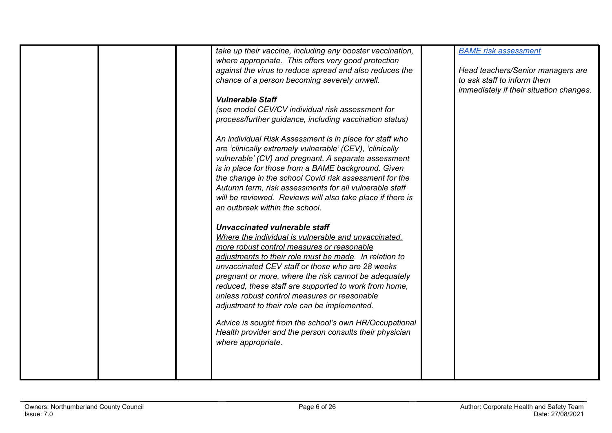| take up their vaccine, including any booster vaccination,<br>where appropriate. This offers very good protection<br>against the virus to reduce spread and also reduces the<br>chance of a person becoming severely unwell.<br><b>Vulnerable Staff</b><br>(see model CEV/CV individual risk assessment for<br>process/further guidance, including vaccination status)<br>An individual Risk Assessment is in place for staff who<br>are 'clinically extremely vulnerable' (CEV), 'clinically<br>vulnerable' (CV) and pregnant. A separate assessment<br>is in place for those from a BAME background. Given<br>the change in the school Covid risk assessment for the<br>Autumn term, risk assessments for all vulnerable staff<br>will be reviewed. Reviews will also take place if there is<br>an outbreak within the school.<br>Unvaccinated vulnerable staff<br>Where the individual is vulnerable and unvaccinated.<br>more robust control measures or reasonable<br>adjustments to their role must be made. In relation to<br>unvaccinated CEV staff or those who are 28 weeks<br>pregnant or more, where the risk cannot be adequately<br>reduced, these staff are supported to work from home,<br>unless robust control measures or reasonable<br>adjustment to their role can be implemented.<br>Advice is sought from the school's own HR/Occupational<br>Health provider and the person consults their physician<br>where appropriate. | <b>BAME</b> risk assessment<br>Head teachers/Senior managers are<br>to ask staff to inform them<br>immediately if their situation changes. |
|---------------------------------------------------------------------------------------------------------------------------------------------------------------------------------------------------------------------------------------------------------------------------------------------------------------------------------------------------------------------------------------------------------------------------------------------------------------------------------------------------------------------------------------------------------------------------------------------------------------------------------------------------------------------------------------------------------------------------------------------------------------------------------------------------------------------------------------------------------------------------------------------------------------------------------------------------------------------------------------------------------------------------------------------------------------------------------------------------------------------------------------------------------------------------------------------------------------------------------------------------------------------------------------------------------------------------------------------------------------------------------------------------------------------------------------------------|--------------------------------------------------------------------------------------------------------------------------------------------|
|                                                                                                                                                                                                                                                                                                                                                                                                                                                                                                                                                                                                                                                                                                                                                                                                                                                                                                                                                                                                                                                                                                                                                                                                                                                                                                                                                                                                                                                   |                                                                                                                                            |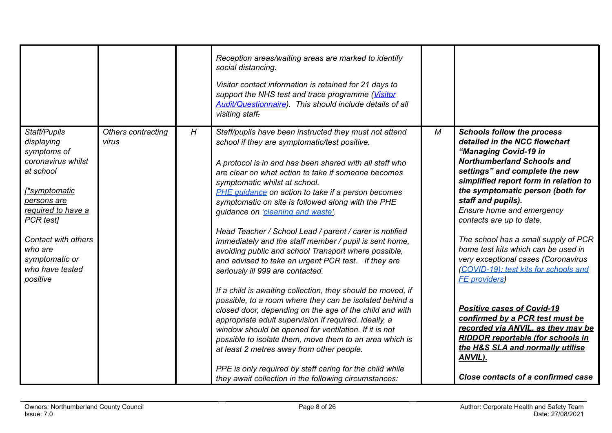| Reception areas/waiting areas are marked to identify<br>social distancing.<br>Visitor contact information is retained for 21 days to<br>support the NHS test and trace programme (Visitor<br><b>Audit/Questionnaire)</b> . This should include details of all<br>visiting staff-<br>H<br>Staff/Pupils<br>$\cal M$<br><b>Schools follow the process</b><br>Others contracting<br>Staff/pupils have been instructed they must not attend<br>detailed in the NCC flowchart<br>displaying<br>virus<br>school if they are symptomatic/test positive.<br>symptoms of<br>"Managing Covid-19 in<br>coronavirus whilst<br><b>Northumberland Schools and</b><br>A protocol is in and has been shared with all staff who<br>at school<br>settings" and complete the new<br>are clear on what action to take if someone becomes<br>simplified report form in relation to<br>symptomatic whilst at school.<br>the symptomatic person (both for<br><i>r</i> symptomatic<br>PHE guidance on action to take if a person becomes<br>staff and pupils).<br>persons are<br>symptomatic on site is followed along with the PHE<br>Ensure home and emergency<br>required to have a<br>guidance on 'cleaning and waste'.<br>PCR test]<br>contacts are up to date.<br>Head Teacher / School Lead / parent / carer is notified<br>The school has a small supply of PCR<br>Contact with others<br>immediately and the staff member / pupil is sent home,<br>home test kits which can be used in<br>who are<br>avoiding public and school Transport where possible,<br>very exceptional cases (Coronavirus<br>symptomatic or<br>and advised to take an urgent PCR test. If they are<br>who have tested<br>(COVID-19): test kits for schools and<br>seriously ill 999 are contacted.<br>positive<br><b>FE</b> providers)<br>If a child is awaiting collection, they should be moved, if<br>possible, to a room where they can be isolated behind a<br><b>Positive cases of Covid-19</b><br>closed door, depending on the age of the child and with<br>confirmed by a PCR test must be<br>appropriate adult supervision if required. Ideally, a<br>recorded via ANVIL, as they may be<br>window should be opened for ventilation. If it is not<br><b>RIDDOR reportable (for schools in</b><br>possible to isolate them, move them to an area which is<br>the H&S SLA and normally utilise<br>at least 2 metres away from other people.<br>ANVIL).<br>PPE is only required by staff caring for the child while |  |  |                                    |
|-----------------------------------------------------------------------------------------------------------------------------------------------------------------------------------------------------------------------------------------------------------------------------------------------------------------------------------------------------------------------------------------------------------------------------------------------------------------------------------------------------------------------------------------------------------------------------------------------------------------------------------------------------------------------------------------------------------------------------------------------------------------------------------------------------------------------------------------------------------------------------------------------------------------------------------------------------------------------------------------------------------------------------------------------------------------------------------------------------------------------------------------------------------------------------------------------------------------------------------------------------------------------------------------------------------------------------------------------------------------------------------------------------------------------------------------------------------------------------------------------------------------------------------------------------------------------------------------------------------------------------------------------------------------------------------------------------------------------------------------------------------------------------------------------------------------------------------------------------------------------------------------------------------------------------------------------------------------------------------------------------------------------------------------------------------------------------------------------------------------------------------------------------------------------------------------------------------------------------------------------------------------------------------------------------------------------------------------------------------------------------------------------------------------------------------------------------------------------------------|--|--|------------------------------------|
|                                                                                                                                                                                                                                                                                                                                                                                                                                                                                                                                                                                                                                                                                                                                                                                                                                                                                                                                                                                                                                                                                                                                                                                                                                                                                                                                                                                                                                                                                                                                                                                                                                                                                                                                                                                                                                                                                                                                                                                                                                                                                                                                                                                                                                                                                                                                                                                                                                                                                   |  |  |                                    |
| they await collection in the following circumstances:                                                                                                                                                                                                                                                                                                                                                                                                                                                                                                                                                                                                                                                                                                                                                                                                                                                                                                                                                                                                                                                                                                                                                                                                                                                                                                                                                                                                                                                                                                                                                                                                                                                                                                                                                                                                                                                                                                                                                                                                                                                                                                                                                                                                                                                                                                                                                                                                                             |  |  | Close contacts of a confirmed case |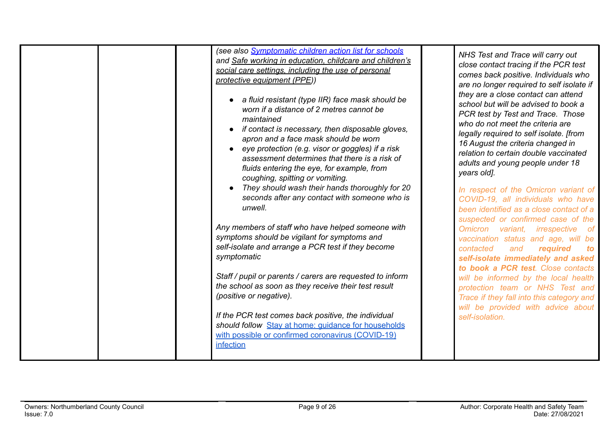|  | (see also <b>Symptomatic children action list for schools</b><br>and Safe working in education, childcare and children's<br>social care settings, including the use of personal<br>protective equipment (PPE))<br>• a fluid resistant (type IIR) face mask should be<br>worn if a distance of 2 metres cannot be<br>maintained<br>if contact is necessary, then disposable gloves,<br>apron and a face mask should be worn<br>eye protection (e.g. visor or goggles) if a risk<br>assessment determines that there is a risk of<br>fluids entering the eye, for example, from<br>coughing, spitting or vomiting. | NHS Test and Trace will carry out<br>close contact tracing if the PCR test<br>comes back positive. Individuals who<br>are no longer required to self isolate if<br>they are a close contact can attend<br>school but will be advised to book a<br>PCR test by Test and Trace. Those<br>who do not meet the criteria are<br>legally required to self isolate. [from<br>16 August the criteria changed in<br>relation to certain double vaccinated<br>adults and young people under 18<br>years old]. |
|--|------------------------------------------------------------------------------------------------------------------------------------------------------------------------------------------------------------------------------------------------------------------------------------------------------------------------------------------------------------------------------------------------------------------------------------------------------------------------------------------------------------------------------------------------------------------------------------------------------------------|-----------------------------------------------------------------------------------------------------------------------------------------------------------------------------------------------------------------------------------------------------------------------------------------------------------------------------------------------------------------------------------------------------------------------------------------------------------------------------------------------------|
|  | They should wash their hands thoroughly for 20<br>seconds after any contact with someone who is<br>unwell.                                                                                                                                                                                                                                                                                                                                                                                                                                                                                                       | In respect of the Omicron variant of<br>COVID-19, all individuals who have<br>been identified as a close contact of a<br>suspected or confirmed case of the                                                                                                                                                                                                                                                                                                                                         |
|  | Any members of staff who have helped someone with<br>symptoms should be vigilant for symptoms and<br>self-isolate and arrange a PCR test if they become<br>symptomatic                                                                                                                                                                                                                                                                                                                                                                                                                                           | Omicron variant, irrespective of<br>vaccination status and age, will be<br>contacted<br>and<br>required<br>to<br>self-isolate immediately and asked<br>to book a PCR test. Close contacts                                                                                                                                                                                                                                                                                                           |
|  | Staff / pupil or parents / carers are requested to inform                                                                                                                                                                                                                                                                                                                                                                                                                                                                                                                                                        | will be informed by the local health                                                                                                                                                                                                                                                                                                                                                                                                                                                                |
|  | the school as soon as they receive their test result<br>(positive or negative).                                                                                                                                                                                                                                                                                                                                                                                                                                                                                                                                  | protection team or NHS Test and<br>Trace if they fall into this category and<br>will be provided with advice about                                                                                                                                                                                                                                                                                                                                                                                  |
|  | If the PCR test comes back positive, the individual<br>should follow Stay at home: guidance for households<br>with possible or confirmed coronavirus (COVID-19)<br>infection                                                                                                                                                                                                                                                                                                                                                                                                                                     | self-isolation.                                                                                                                                                                                                                                                                                                                                                                                                                                                                                     |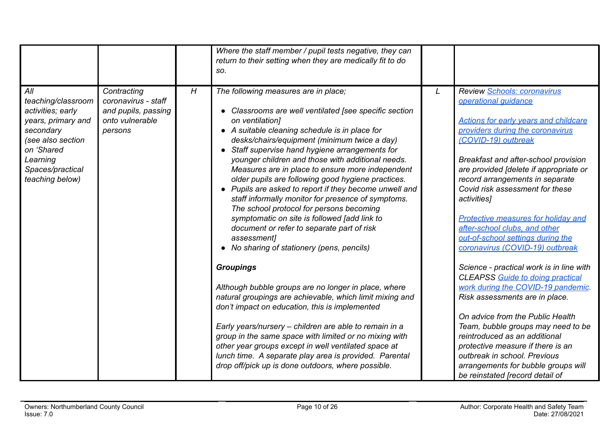|                                                                                                                                                                         |                                                                                         |   | Where the staff member / pupil tests negative, they can<br>return to their setting when they are medically fit to do<br>SO.                                                                                                                                                                                                                                                                                                                                                                                                                                                                                                                                                                                                                                |   |                                                                                                                                                                                                                                                                                                                                                                                                                                                                                              |
|-------------------------------------------------------------------------------------------------------------------------------------------------------------------------|-----------------------------------------------------------------------------------------|---|------------------------------------------------------------------------------------------------------------------------------------------------------------------------------------------------------------------------------------------------------------------------------------------------------------------------------------------------------------------------------------------------------------------------------------------------------------------------------------------------------------------------------------------------------------------------------------------------------------------------------------------------------------------------------------------------------------------------------------------------------------|---|----------------------------------------------------------------------------------------------------------------------------------------------------------------------------------------------------------------------------------------------------------------------------------------------------------------------------------------------------------------------------------------------------------------------------------------------------------------------------------------------|
| All<br>teaching/classroom<br>activities; early<br>years, primary and<br>secondary<br>(see also section<br>on 'Shared<br>Learning<br>Spaces/practical<br>teaching below) | Contracting<br>coronavirus - staff<br>and pupils, passing<br>onto vulnerable<br>persons | H | The following measures are in place;<br>Classrooms are well ventilated [see specific section<br>on ventilation]<br>• A suitable cleaning schedule is in place for<br>desks/chairs/equipment (minimum twice a day)<br>• Staff supervise hand hygiene arrangements for<br>younger children and those with additional needs.<br>Measures are in place to ensure more independent<br>older pupils are following good hygiene practices.<br>• Pupils are asked to report if they become unwell and<br>staff informally monitor for presence of symptoms.<br>The school protocol for persons becoming<br>symptomatic on site is followed [add link to<br>document or refer to separate part of risk<br>assessment]<br>• No sharing of stationery (pens, pencils) | L | Review Schools: coronavirus<br>operational quidance<br><b>Actions for early years and childcare</b><br>providers during the coronavirus<br>(COVID-19) outbreak<br>Breakfast and after-school provision<br>are provided [delete if appropriate or<br>record arrangements in separate<br>Covid risk assessment for these<br>activities]<br><b>Protective measures for holiday and</b><br>after-school clubs, and other<br>out-of-school settings during the<br>coronavirus (COVID-19) outbreak |
|                                                                                                                                                                         |                                                                                         |   | <b>Groupings</b><br>Although bubble groups are no longer in place, where<br>natural groupings are achievable, which limit mixing and<br>don't impact on education, this is implemented<br>Early years/nursery - children are able to remain in a<br>group in the same space with limited or no mixing with<br>other year groups except in well ventilated space at<br>lunch time. A separate play area is provided. Parental<br>drop off/pick up is done outdoors, where possible.                                                                                                                                                                                                                                                                         |   | Science - practical work is in line with<br><b>CLEAPSS</b> Guide to doing practical<br>work during the COVID-19 pandemic.<br>Risk assessments are in place.<br>On advice from the Public Health<br>Team, bubble groups may need to be<br>reintroduced as an additional<br>protective measure if there is an<br>outbreak in school. Previous<br>arrangements for bubble groups will<br>be reinstated [record detail of                                                                        |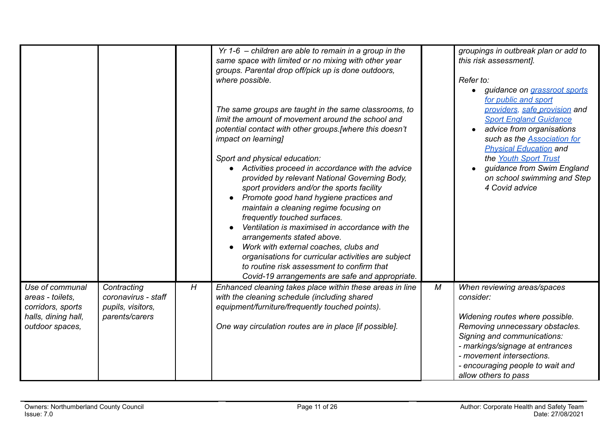|                                                                                                    |                                                                           |   | $Yr$ 1-6 – children are able to remain in a group in the<br>same space with limited or no mixing with other year<br>groups. Parental drop off/pick up is done outdoors,<br>where possible.<br>The same groups are taught in the same classrooms, to<br>limit the amount of movement around the school and<br>potential contact with other groups. [where this doesn't<br><i>impact on learning]</i><br>Sport and physical education:<br>Activities proceed in accordance with the advice<br>provided by relevant National Governing Body,<br>sport providers and/or the sports facility<br>Promote good hand hygiene practices and<br>maintain a cleaning regime focusing on<br>frequently touched surfaces.<br>Ventilation is maximised in accordance with the<br>arrangements stated above. |   | groupings in outbreak plan or add to<br>this risk assessment].<br>Refer to:<br>• guidance on grassroot sports<br>for public and sport<br>providers, safe provision and<br><b>Sport England Guidance</b><br>advice from organisations<br>such as the <b>Association</b> for<br><b>Physical Education and</b><br>the Youth Sport Trust<br>guidance from Swim England<br>on school swimming and Step<br>4 Covid advice |
|----------------------------------------------------------------------------------------------------|---------------------------------------------------------------------------|---|-----------------------------------------------------------------------------------------------------------------------------------------------------------------------------------------------------------------------------------------------------------------------------------------------------------------------------------------------------------------------------------------------------------------------------------------------------------------------------------------------------------------------------------------------------------------------------------------------------------------------------------------------------------------------------------------------------------------------------------------------------------------------------------------------|---|---------------------------------------------------------------------------------------------------------------------------------------------------------------------------------------------------------------------------------------------------------------------------------------------------------------------------------------------------------------------------------------------------------------------|
|                                                                                                    |                                                                           |   | Work with external coaches, clubs and<br>organisations for curricular activities are subject<br>to routine risk assessment to confirm that<br>Covid-19 arrangements are safe and appropriate.                                                                                                                                                                                                                                                                                                                                                                                                                                                                                                                                                                                                 |   |                                                                                                                                                                                                                                                                                                                                                                                                                     |
| Use of communal<br>areas - toilets,<br>corridors, sports<br>halls, dining hall,<br>outdoor spaces, | Contracting<br>coronavirus - staff<br>pupils, visitors,<br>parents/carers | H | Enhanced cleaning takes place within these areas in line<br>with the cleaning schedule (including shared<br>equipment/furniture/frequently touched points).<br>One way circulation routes are in place [if possible].                                                                                                                                                                                                                                                                                                                                                                                                                                                                                                                                                                         | M | When reviewing areas/spaces<br>consider:<br>Widening routes where possible.<br>Removing unnecessary obstacles.<br>Signing and communications:<br>- markings/signage at entrances<br>- movement intersections.<br>- encouraging people to wait and<br>allow others to pass                                                                                                                                           |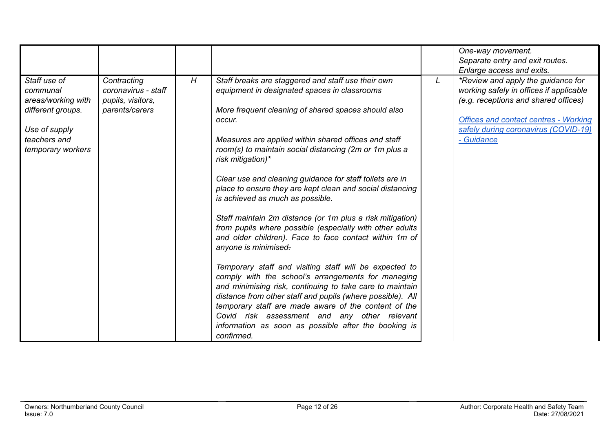|                                                                                                                           |                                                                           |   |                                                                                                                                                                                                                                                                                                                                                                                                                                                                                                                                                                                                                                                                                                                                                                                                                                                                                                                                                                                                                                                                                                            |   | One-way movement.<br>Separate entry and exit routes.<br>Enlarge access and exits.                                                                                                                                           |
|---------------------------------------------------------------------------------------------------------------------------|---------------------------------------------------------------------------|---|------------------------------------------------------------------------------------------------------------------------------------------------------------------------------------------------------------------------------------------------------------------------------------------------------------------------------------------------------------------------------------------------------------------------------------------------------------------------------------------------------------------------------------------------------------------------------------------------------------------------------------------------------------------------------------------------------------------------------------------------------------------------------------------------------------------------------------------------------------------------------------------------------------------------------------------------------------------------------------------------------------------------------------------------------------------------------------------------------------|---|-----------------------------------------------------------------------------------------------------------------------------------------------------------------------------------------------------------------------------|
| Staff use of<br>communal<br>areas/working with<br>different groups.<br>Use of supply<br>teachers and<br>temporary workers | Contracting<br>coronavirus - staff<br>pupils, visitors,<br>parents/carers | H | Staff breaks are staggered and staff use their own<br>equipment in designated spaces in classrooms<br>More frequent cleaning of shared spaces should also<br>occur.<br>Measures are applied within shared offices and staff<br>room(s) to maintain social distancing (2m or 1m plus a<br>risk mitigation)*<br>Clear use and cleaning guidance for staff toilets are in<br>place to ensure they are kept clean and social distancing<br>is achieved as much as possible.<br>Staff maintain 2m distance (or 1m plus a risk mitigation)<br>from pupils where possible (especially with other adults<br>and older children). Face to face contact within 1m of<br>anyone is minimised-<br>Temporary staff and visiting staff will be expected to<br>comply with the school's arrangements for managing<br>and minimising risk, continuing to take care to maintain<br>distance from other staff and pupils (where possible). All<br>temporary staff are made aware of the content of the<br>Covid risk assessment and any other relevant<br>information as soon as possible after the booking is<br>confirmed. | L | *Review and apply the guidance for<br>working safely in offices if applicable<br>(e.g. receptions and shared offices)<br><b>Offices and contact centres - Working</b><br>safely during coronavirus (COVID-19)<br>- Guidance |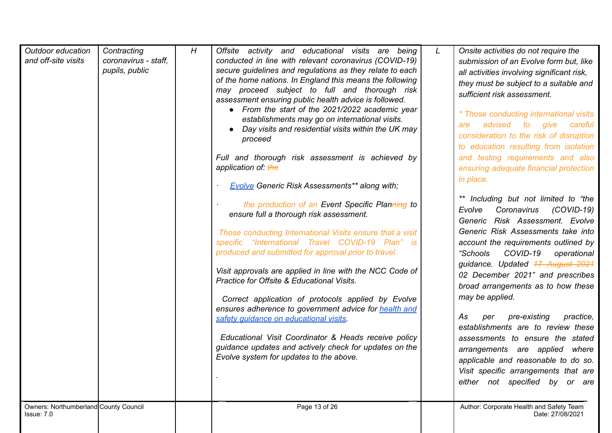| Outdoor education<br>and off-site visits<br>Owners: Northumberland County Council | Contracting<br>coronavirus - staff,<br>pupils, public | H | Offsite activity and educational visits are being<br>conducted in line with relevant coronavirus (COVID-19)<br>secure guidelines and regulations as they relate to each<br>of the home nations. In England this means the following<br>may proceed subject to full and thorough risk<br>assessment ensuring public health advice is followed.<br>• From the start of the 2021/2022 academic year<br>establishments may go on international visits.<br>• Day visits and residential visits within the UK may<br>proceed<br>Full and thorough risk assessment is achieved by<br>application of: the<br><b>Evolve Generic Risk Assessments** along with;</b><br>the production of an Event Specific Planning to<br>ensure full a thorough risk assessment.<br>Those conducting International Visits ensure that a visit<br>specific "International Travel COVID-19 Plan" is<br>produced and submitted for approval prior to travel.<br>Visit approvals are applied in line with the NCC Code of<br>Practice for Offsite & Educational Visits.<br>Correct application of protocols applied by Evolve<br>ensures adherence to government advice for health and<br>safety guidance on educational visits.<br>Educational Visit Coordinator & Heads receive policy<br>guidance updates and actively check for updates on the<br>Evolve system for updates to the above.<br>Page 13 of 26 | $\mathsf{\mathcal{L}}$ | Onsite activities do not require the<br>submission of an Evolve form but, like<br>all activities involving significant risk,<br>they must be subject to a suitable and<br>sufficient risk assessment.<br>* Those conducting international visits<br>advised<br>to<br>give<br>careful<br>are<br>consideration to the risk of disruption<br>to education resulting from isolation<br>and testing requirements and also<br>ensuring adequate financial protection<br>in place.<br>** Including but not limited to "the<br>$(COVID-19)$<br>Evolve<br>Coronavirus<br>Generic Risk Assessment. Evolve<br>Generic Risk Assessments take into<br>account the requirements outlined by<br>COVID-19<br>"Schools"<br>operational<br>guidance. Updated 47 August 2024<br>02 December 2021" and prescribes<br>broad arrangements as to how these<br>may be applied.<br>pre-existing<br>practice,<br>As<br>per<br>establishments are to review these<br>assessments to ensure the stated<br>arrangements are applied where<br>applicable and reasonable to do so.<br>Visit specific arrangements that are<br>either not specified by or are<br>Author: Corporate Health and Safety Team |
|-----------------------------------------------------------------------------------|-------------------------------------------------------|---|-----------------------------------------------------------------------------------------------------------------------------------------------------------------------------------------------------------------------------------------------------------------------------------------------------------------------------------------------------------------------------------------------------------------------------------------------------------------------------------------------------------------------------------------------------------------------------------------------------------------------------------------------------------------------------------------------------------------------------------------------------------------------------------------------------------------------------------------------------------------------------------------------------------------------------------------------------------------------------------------------------------------------------------------------------------------------------------------------------------------------------------------------------------------------------------------------------------------------------------------------------------------------------------------------------------------------------------------------------------------------------------|------------------------|---------------------------------------------------------------------------------------------------------------------------------------------------------------------------------------------------------------------------------------------------------------------------------------------------------------------------------------------------------------------------------------------------------------------------------------------------------------------------------------------------------------------------------------------------------------------------------------------------------------------------------------------------------------------------------------------------------------------------------------------------------------------------------------------------------------------------------------------------------------------------------------------------------------------------------------------------------------------------------------------------------------------------------------------------------------------------------------------------------------------------------------------------------------------------|
| Issue: 7.0                                                                        |                                                       |   |                                                                                                                                                                                                                                                                                                                                                                                                                                                                                                                                                                                                                                                                                                                                                                                                                                                                                                                                                                                                                                                                                                                                                                                                                                                                                                                                                                                   |                        | Date: 27/08/2021                                                                                                                                                                                                                                                                                                                                                                                                                                                                                                                                                                                                                                                                                                                                                                                                                                                                                                                                                                                                                                                                                                                                                          |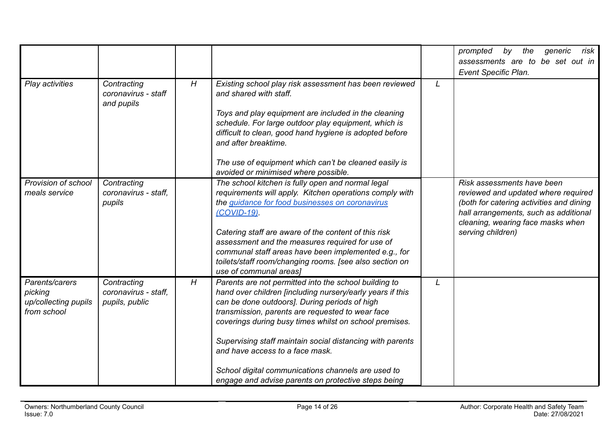|                                                                  |                                                       |   |                                                                                                                                                                                                                                                                                                                                                                                                                                                                                                |   | the<br>risk<br>prompted<br>by<br>generic<br>assessments are to be set out in                                                                                                                                     |
|------------------------------------------------------------------|-------------------------------------------------------|---|------------------------------------------------------------------------------------------------------------------------------------------------------------------------------------------------------------------------------------------------------------------------------------------------------------------------------------------------------------------------------------------------------------------------------------------------------------------------------------------------|---|------------------------------------------------------------------------------------------------------------------------------------------------------------------------------------------------------------------|
|                                                                  |                                                       |   |                                                                                                                                                                                                                                                                                                                                                                                                                                                                                                |   | Event Specific Plan.                                                                                                                                                                                             |
| Play activities                                                  | Contracting<br>coronavirus - staff<br>and pupils      | H | Existing school play risk assessment has been reviewed<br>and shared with staff.<br>Toys and play equipment are included in the cleaning<br>schedule. For large outdoor play equipment, which is<br>difficult to clean, good hand hygiene is adopted before<br>and after breaktime.                                                                                                                                                                                                            | L |                                                                                                                                                                                                                  |
|                                                                  |                                                       |   | The use of equipment which can't be cleaned easily is<br>avoided or minimised where possible.                                                                                                                                                                                                                                                                                                                                                                                                  |   |                                                                                                                                                                                                                  |
| Provision of school<br>meals service                             | Contracting<br>coronavirus - staff,<br>pupils         |   | The school kitchen is fully open and normal legal<br>requirements will apply. Kitchen operations comply with<br>the guidance for food businesses on coronavirus<br>(COVID-19)<br>Catering staff are aware of the content of this risk<br>assessment and the measures required for use of<br>communal staff areas have been implemented e.g., for<br>toilets/staff room/changing rooms. [see also section on<br>use of communal areas]                                                          |   | Risk assessments have been<br>reviewed and updated where required<br>(both for catering activities and dining<br>hall arrangements, such as additional<br>cleaning, wearing face masks when<br>serving children) |
| Parents/carers<br>picking<br>up/collecting pupils<br>from school | Contracting<br>coronavirus - staff,<br>pupils, public | H | Parents are not permitted into the school building to<br>hand over children [including nursery/early years if this<br>can be done outdoors]. During periods of high<br>transmission, parents are requested to wear face<br>coverings during busy times whilst on school premises.<br>Supervising staff maintain social distancing with parents<br>and have access to a face mask.<br>School digital communications channels are used to<br>engage and advise parents on protective steps being | L |                                                                                                                                                                                                                  |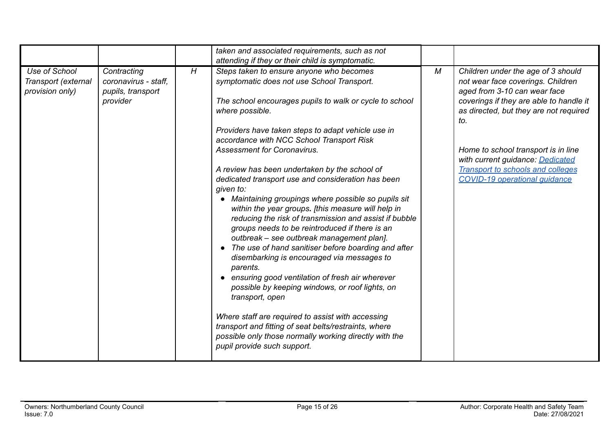|                                                         |                                                                      |   | taken and associated requirements, such as not                                                                                                                                                                                                                                                                                                                                                                                                                                                                                                                                                                                                                                                                                                                                                                                                                                                                                                                                                                                                                                                                                                                                     |   |                                                                                                                                                                                                                                                                                                                                                                    |
|---------------------------------------------------------|----------------------------------------------------------------------|---|------------------------------------------------------------------------------------------------------------------------------------------------------------------------------------------------------------------------------------------------------------------------------------------------------------------------------------------------------------------------------------------------------------------------------------------------------------------------------------------------------------------------------------------------------------------------------------------------------------------------------------------------------------------------------------------------------------------------------------------------------------------------------------------------------------------------------------------------------------------------------------------------------------------------------------------------------------------------------------------------------------------------------------------------------------------------------------------------------------------------------------------------------------------------------------|---|--------------------------------------------------------------------------------------------------------------------------------------------------------------------------------------------------------------------------------------------------------------------------------------------------------------------------------------------------------------------|
| Use of School<br>Transport (external<br>provision only) | Contracting<br>coronavirus - staff.<br>pupils, transport<br>provider | H | attending if they or their child is symptomatic.<br>Steps taken to ensure anyone who becomes<br>symptomatic does not use School Transport.<br>The school encourages pupils to walk or cycle to school<br>where possible.<br>Providers have taken steps to adapt vehicle use in<br>accordance with NCC School Transport Risk<br><b>Assessment for Coronavirus.</b><br>A review has been undertaken by the school of<br>dedicated transport use and consideration has been<br>given to:<br>• Maintaining groupings where possible so pupils sit<br>within the year groups. [this measure will help in<br>reducing the risk of transmission and assist if bubble<br>groups needs to be reintroduced if there is an<br>outbreak - see outbreak management plan].<br>• The use of hand sanitiser before boarding and after<br>disembarking is encouraged via messages to<br>parents.<br>• ensuring good ventilation of fresh air wherever<br>possible by keeping windows, or roof lights, on<br>transport, open<br>Where staff are required to assist with accessing<br>transport and fitting of seat belts/restraints, where<br>possible only those normally working directly with the | M | Children under the age of 3 should<br>not wear face coverings. Children<br>aged from 3-10 can wear face<br>coverings if they are able to handle it<br>as directed, but they are not required<br>to.<br>Home to school transport is in line<br>with current guidance: Dedicated<br><b>Transport to schools and colleges</b><br><b>COVID-19 operational quidance</b> |
|                                                         |                                                                      |   | pupil provide such support.                                                                                                                                                                                                                                                                                                                                                                                                                                                                                                                                                                                                                                                                                                                                                                                                                                                                                                                                                                                                                                                                                                                                                        |   |                                                                                                                                                                                                                                                                                                                                                                    |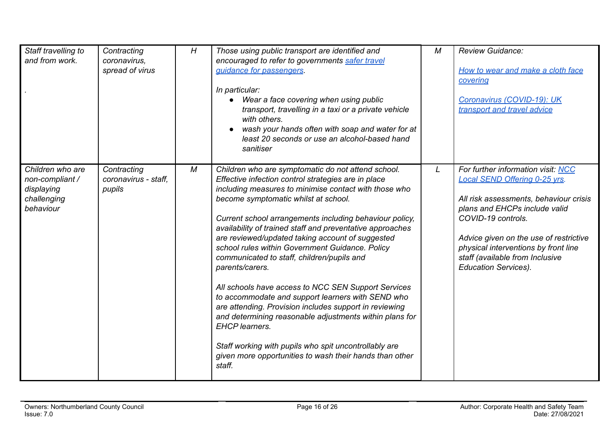| Staff travelling to<br>and from work.                                         | Contracting<br>coronavirus,<br>spread of virus | H | Those using public transport are identified and<br>encouraged to refer to governments safer travel<br>quidance for passengers.<br>In particular:<br>Wear a face covering when using public<br>transport, travelling in a taxi or a private vehicle<br>with others.<br>wash your hands often with soap and water for at<br>least 20 seconds or use an alcohol-based hand<br>sanitiser                                                                                                                                                                                                                                                                                                                                                                                                                                                                                                               | М | <b>Review Guidance:</b><br>How to wear and make a cloth face<br>covering<br>Coronavirus (COVID-19): UK<br>transport and travel advice                                                                                                                                                                                           |
|-------------------------------------------------------------------------------|------------------------------------------------|---|----------------------------------------------------------------------------------------------------------------------------------------------------------------------------------------------------------------------------------------------------------------------------------------------------------------------------------------------------------------------------------------------------------------------------------------------------------------------------------------------------------------------------------------------------------------------------------------------------------------------------------------------------------------------------------------------------------------------------------------------------------------------------------------------------------------------------------------------------------------------------------------------------|---|---------------------------------------------------------------------------------------------------------------------------------------------------------------------------------------------------------------------------------------------------------------------------------------------------------------------------------|
| Children who are<br>non-compliant /<br>displaying<br>challenging<br>behaviour | Contracting<br>coronavirus - staff,<br>pupils  | М | Children who are symptomatic do not attend school.<br>Effective infection control strategies are in place<br>including measures to minimise contact with those who<br>become symptomatic whilst at school.<br>Current school arrangements including behaviour policy,<br>availability of trained staff and preventative approaches<br>are reviewed/updated taking account of suggested<br>school rules within Government Guidance. Policy<br>communicated to staff, children/pupils and<br>parents/carers.<br>All schools have access to NCC SEN Support Services<br>to accommodate and support learners with SEND who<br>are attending. Provision includes support in reviewing<br>and determining reasonable adjustments within plans for<br><b>EHCP</b> learners.<br>Staff working with pupils who spit uncontrollably are<br>given more opportunities to wash their hands than other<br>staff. | L | For further information visit: NCC<br><b>Local SEND Offering 0-25 yrs.</b><br>All risk assessments, behaviour crisis<br>plans and EHCPs include valid<br>COVID-19 controls.<br>Advice given on the use of restrictive<br>physical interventions by front line<br>staff (available from Inclusive<br><b>Education Services).</b> |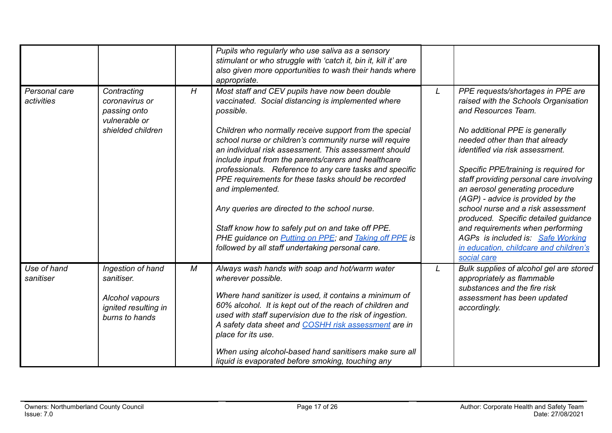|                             |                                                                                              |   | Pupils who regularly who use saliva as a sensory<br>stimulant or who struggle with 'catch it, bin it, kill it' are<br>also given more opportunities to wash their hands where<br>appropriate.                                                                                                                                                                                                                                                                                                                                                                                                                                                                                                                    |   |                                                                                                                                                                                                                                                                                                                                                                                                                                                                                                                                                                                     |
|-----------------------------|----------------------------------------------------------------------------------------------|---|------------------------------------------------------------------------------------------------------------------------------------------------------------------------------------------------------------------------------------------------------------------------------------------------------------------------------------------------------------------------------------------------------------------------------------------------------------------------------------------------------------------------------------------------------------------------------------------------------------------------------------------------------------------------------------------------------------------|---|-------------------------------------------------------------------------------------------------------------------------------------------------------------------------------------------------------------------------------------------------------------------------------------------------------------------------------------------------------------------------------------------------------------------------------------------------------------------------------------------------------------------------------------------------------------------------------------|
| Personal care<br>activities | Contracting<br>coronavirus or<br>passing onto<br>vulnerable or<br>shielded children          | H | Most staff and CEV pupils have now been double<br>vaccinated. Social distancing is implemented where<br>possible.<br>Children who normally receive support from the special<br>school nurse or children's community nurse will require<br>an individual risk assessment. This assessment should<br>include input from the parents/carers and healthcare<br>professionals. Reference to any care tasks and specific<br>PPE requirements for these tasks should be recorded<br>and implemented.<br>Any queries are directed to the school nurse.<br>Staff know how to safely put on and take off PPE.<br>PHE guidance on Putting on PPE; and Taking off PPE is<br>followed by all staff undertaking personal care. | L | PPE requests/shortages in PPE are<br>raised with the Schools Organisation<br>and Resources Team.<br>No additional PPE is generally<br>needed other than that already<br>identified via risk assessment.<br>Specific PPE/training is required for<br>staff providing personal care involving<br>an aerosol generating procedure<br>(AGP) - advice is provided by the<br>school nurse and a risk assessment<br>produced. Specific detailed guidance<br>and requirements when performing<br>AGPs is included is: Safe Working<br>in education, childcare and children's<br>social care |
| Use of hand<br>sanitiser    | Ingestion of hand<br>sanitiser.<br>Alcohol vapours<br>ignited resulting in<br>burns to hands | M | Always wash hands with soap and hot/warm water<br>wherever possible.<br>Where hand sanitizer is used, it contains a minimum of<br>60% alcohol. It is kept out of the reach of children and<br>used with staff supervision due to the risk of ingestion.<br>A safety data sheet and COSHH risk assessment are in<br>place for its use.<br>When using alcohol-based hand sanitisers make sure all<br>liquid is evaporated before smoking, touching any                                                                                                                                                                                                                                                             | L | Bulk supplies of alcohol gel are stored<br>appropriately as flammable<br>substances and the fire risk<br>assessment has been updated<br>accordingly.                                                                                                                                                                                                                                                                                                                                                                                                                                |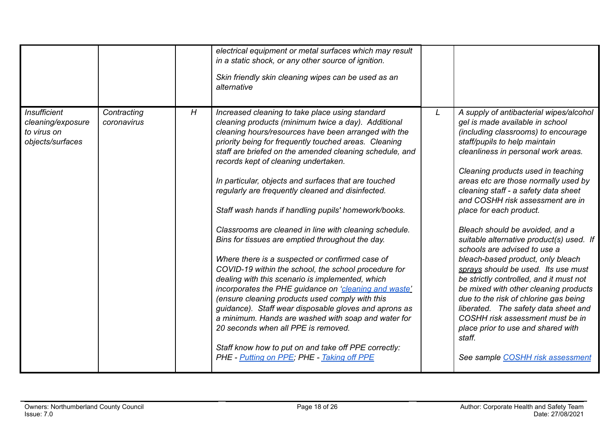|                                                                             |                            |   | electrical equipment or metal surfaces which may result<br>in a static shock, or any other source of ignition.                                                                                                                                                                                                                                                                                                                                                                                                                                                                                                                                                                                                                                                                                                                                                                                                                                                                                                                                                                                                                                        |   |                                                                                                                                                                                                                                                                                                                                                                                                                                                                                                                                                                                                                                                                                                                                                                                                                                                                        |
|-----------------------------------------------------------------------------|----------------------------|---|-------------------------------------------------------------------------------------------------------------------------------------------------------------------------------------------------------------------------------------------------------------------------------------------------------------------------------------------------------------------------------------------------------------------------------------------------------------------------------------------------------------------------------------------------------------------------------------------------------------------------------------------------------------------------------------------------------------------------------------------------------------------------------------------------------------------------------------------------------------------------------------------------------------------------------------------------------------------------------------------------------------------------------------------------------------------------------------------------------------------------------------------------------|---|------------------------------------------------------------------------------------------------------------------------------------------------------------------------------------------------------------------------------------------------------------------------------------------------------------------------------------------------------------------------------------------------------------------------------------------------------------------------------------------------------------------------------------------------------------------------------------------------------------------------------------------------------------------------------------------------------------------------------------------------------------------------------------------------------------------------------------------------------------------------|
|                                                                             |                            |   | Skin friendly skin cleaning wipes can be used as an<br>alternative                                                                                                                                                                                                                                                                                                                                                                                                                                                                                                                                                                                                                                                                                                                                                                                                                                                                                                                                                                                                                                                                                    |   |                                                                                                                                                                                                                                                                                                                                                                                                                                                                                                                                                                                                                                                                                                                                                                                                                                                                        |
| <b>Insufficient</b><br>cleaning/exposure<br>to virus on<br>objects/surfaces | Contracting<br>coronavirus | H | Increased cleaning to take place using standard<br>cleaning products (minimum twice a day). Additional<br>cleaning hours/resources have been arranged with the<br>priority being for frequently touched areas. Cleaning<br>staff are briefed on the amended cleaning schedule, and<br>records kept of cleaning undertaken.<br>In particular, objects and surfaces that are touched<br>regularly are frequently cleaned and disinfected.<br>Staff wash hands if handling pupils' homework/books.<br>Classrooms are cleaned in line with cleaning schedule.<br>Bins for tissues are emptied throughout the day.<br>Where there is a suspected or confirmed case of<br>COVID-19 within the school, the school procedure for<br>dealing with this scenario is implemented, which<br>incorporates the PHE guidance on 'cleaning and waste'<br>(ensure cleaning products used comply with this<br>guidance). Staff wear disposable gloves and aprons as<br>a minimum. Hands are washed with soap and water for<br>20 seconds when all PPE is removed.<br>Staff know how to put on and take off PPE correctly:<br>PHE - Putting on PPE; PHE - Taking off PPE | L | A supply of antibacterial wipes/alcohol<br>gel is made available in school<br>(including classrooms) to encourage<br>staff/pupils to help maintain<br>cleanliness in personal work areas.<br>Cleaning products used in teaching<br>areas etc are those normally used by<br>cleaning staff - a safety data sheet<br>and COSHH risk assessment are in<br>place for each product.<br>Bleach should be avoided, and a<br>suitable alternative product(s) used. If<br>schools are advised to use a<br>bleach-based product, only bleach<br>sprays should be used. Its use must<br>be strictly controlled, and it must not<br>be mixed with other cleaning products<br>due to the risk of chlorine gas being<br>liberated. The safety data sheet and<br>COSHH risk assessment must be in<br>place prior to use and shared with<br>staff.<br>See sample COSHH risk assessment |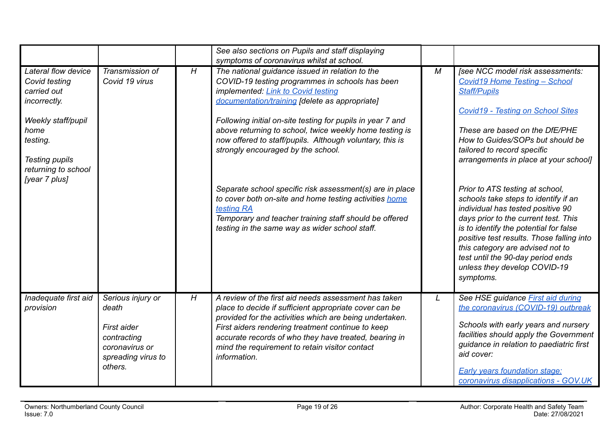|                                                                                                                                                                                |                                                                                                             |   | See also sections on Pupils and staff displaying<br>symptoms of coronavirus whilst at school.                                                                                                                                                                                                                                                                                                                                                                                                                                                                                                                                                                         |   |                                                                                                                                                                                                                                                                                                                                                                                                                                                                                                                                                                                                                                                                |
|--------------------------------------------------------------------------------------------------------------------------------------------------------------------------------|-------------------------------------------------------------------------------------------------------------|---|-----------------------------------------------------------------------------------------------------------------------------------------------------------------------------------------------------------------------------------------------------------------------------------------------------------------------------------------------------------------------------------------------------------------------------------------------------------------------------------------------------------------------------------------------------------------------------------------------------------------------------------------------------------------------|---|----------------------------------------------------------------------------------------------------------------------------------------------------------------------------------------------------------------------------------------------------------------------------------------------------------------------------------------------------------------------------------------------------------------------------------------------------------------------------------------------------------------------------------------------------------------------------------------------------------------------------------------------------------------|
| Lateral flow device<br>Covid testing<br>carried out<br>incorrectly.<br>Weekly staff/pupil<br>home<br>testing.<br><b>Testing pupils</b><br>returning to school<br>[year 7 plus] | Transmission of<br>Covid 19 virus                                                                           | H | The national guidance issued in relation to the<br>COVID-19 testing programmes in schools has been<br>implemented: Link to Covid testing<br>documentation/training [delete as appropriate]<br>Following initial on-site testing for pupils in year 7 and<br>above returning to school, twice weekly home testing is<br>now offered to staff/pupils. Although voluntary, this is<br>strongly encouraged by the school.<br>Separate school specific risk assessment(s) are in place<br>to cover both on-site and home testing activities home<br>testing RA<br>Temporary and teacher training staff should be offered<br>testing in the same way as wider school staff. | M | [see NCC model risk assessments:<br><b>Covid19 Home Testing - School</b><br><b>Staff/Pupils</b><br><b>Covid19 - Testing on School Sites</b><br>These are based on the DfE/PHE<br>How to Guides/SOPs but should be<br>tailored to record specific<br>arrangements in place at your school]<br>Prior to ATS testing at school,<br>schools take steps to identify if an<br>individual has tested positive 90<br>days prior to the current test. This<br>is to identify the potential for false<br>positive test results. Those falling into<br>this category are advised not to<br>test until the 90-day period ends<br>unless they develop COVID-19<br>symptoms. |
| Inadequate first aid<br>provision                                                                                                                                              | Serious injury or<br>death<br>First aider<br>contracting<br>coronavirus or<br>spreading virus to<br>others. | H | A review of the first aid needs assessment has taken<br>place to decide if sufficient appropriate cover can be<br>provided for the activities which are being undertaken.<br>First aiders rendering treatment continue to keep<br>accurate records of who they have treated, bearing in<br>mind the requirement to retain visitor contact<br>information.                                                                                                                                                                                                                                                                                                             | L | See HSE guidance <b>First aid during</b><br>the coronavirus (COVID-19) outbreak<br>Schools with early years and nursery<br>facilities should apply the Government<br>guidance in relation to paediatric first<br>aid cover:<br><b>Early years foundation stage:</b><br>coronavirus disapplications - GOV.UK                                                                                                                                                                                                                                                                                                                                                    |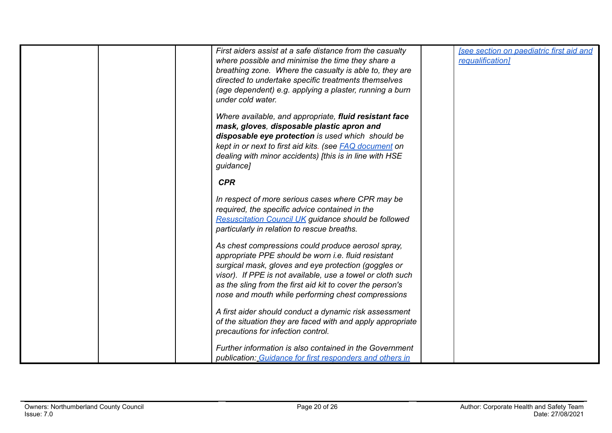|  | First aiders assist at a safe distance from the casualty<br>where possible and minimise the time they share a<br>breathing zone. Where the casualty is able to, they are<br>directed to undertake specific treatments themselves<br>(age dependent) e.g. applying a plaster, running a burn<br>under cold water.                                          | <b>See section on paediatric first aid and</b><br>requalification] |
|--|-----------------------------------------------------------------------------------------------------------------------------------------------------------------------------------------------------------------------------------------------------------------------------------------------------------------------------------------------------------|--------------------------------------------------------------------|
|  | Where available, and appropriate, fluid resistant face<br>mask, gloves, disposable plastic apron and<br>disposable eye protection is used which should be<br>kept in or next to first aid kits. (see <b>FAQ</b> document on<br>dealing with minor accidents) [this is in line with HSE<br>guidance]                                                       |                                                                    |
|  | <b>CPR</b>                                                                                                                                                                                                                                                                                                                                                |                                                                    |
|  | In respect of more serious cases where CPR may be<br>required, the specific advice contained in the<br><b>Resuscitation Council UK guidance should be followed</b><br>particularly in relation to rescue breaths.                                                                                                                                         |                                                                    |
|  | As chest compressions could produce aerosol spray,<br>appropriate PPE should be worn <i>i.e.</i> fluid resistant<br>surgical mask, gloves and eye protection (goggles or<br>visor). If PPE is not available, use a towel or cloth such<br>as the sling from the first aid kit to cover the person's<br>nose and mouth while performing chest compressions |                                                                    |
|  | A first aider should conduct a dynamic risk assessment<br>of the situation they are faced with and apply appropriate<br>precautions for infection control.                                                                                                                                                                                                |                                                                    |
|  | Further information is also contained in the Government<br>publication: Guidance for first responders and others in                                                                                                                                                                                                                                       |                                                                    |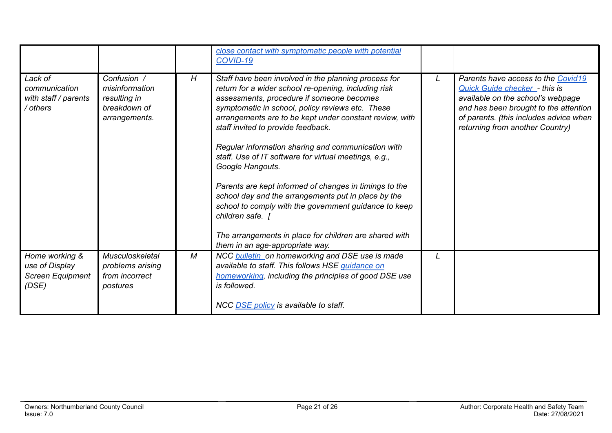|                                                                      |                                                                                |   | close contact with symptomatic people with potential<br><b>COVID-19</b>                                                                                                                                                                                                                                                                                                                                                                                                                                                                                                                                                                                                                                                                      |                                                                                                                                                                                                                                       |
|----------------------------------------------------------------------|--------------------------------------------------------------------------------|---|----------------------------------------------------------------------------------------------------------------------------------------------------------------------------------------------------------------------------------------------------------------------------------------------------------------------------------------------------------------------------------------------------------------------------------------------------------------------------------------------------------------------------------------------------------------------------------------------------------------------------------------------------------------------------------------------------------------------------------------------|---------------------------------------------------------------------------------------------------------------------------------------------------------------------------------------------------------------------------------------|
| Lack of<br>communication<br>with staff / parents<br>/ others         | Confusion /<br>misinformation<br>resulting in<br>breakdown of<br>arrangements. | H | Staff have been involved in the planning process for<br>return for a wider school re-opening, including risk<br>assessments, procedure if someone becomes<br>symptomatic in school, policy reviews etc. These<br>arrangements are to be kept under constant review, with<br>staff invited to provide feedback.<br>Regular information sharing and communication with<br>staff. Use of IT software for virtual meetings, e.g.,<br>Google Hangouts.<br>Parents are kept informed of changes in timings to the<br>school day and the arrangements put in place by the<br>school to comply with the government guidance to keep<br>children safe.  <br>The arrangements in place for children are shared with<br>them in an age-appropriate way. | Parents have access to the Covid19<br><b>Quick Guide checker - this is</b><br>available on the school's webpage<br>and has been brought to the attention<br>of parents. (this includes advice when<br>returning from another Country) |
| Home working &<br>use of Display<br><b>Screen Equipment</b><br>(DSE) | <b>Musculoskeletal</b><br>problems arising<br>from incorrect<br>postures       | M | NCC bulletin on homeworking and DSE use is made<br>available to staff. This follows HSE guidance on<br>homeworking, including the principles of good DSE use<br>is followed.<br>NCC DSE policy is available to staff.                                                                                                                                                                                                                                                                                                                                                                                                                                                                                                                        |                                                                                                                                                                                                                                       |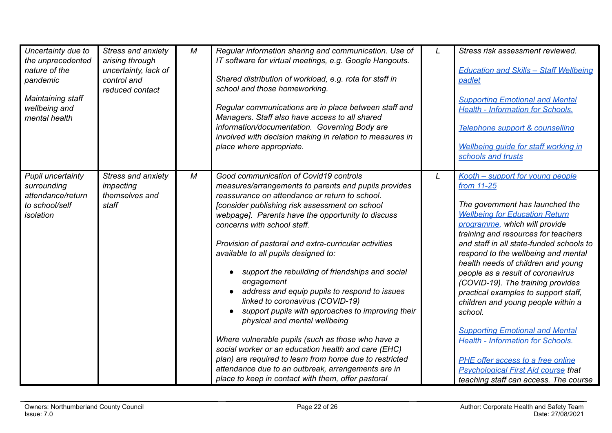| Uncertainty due to<br>the unprecedented<br>nature of the<br>pandemic<br>Maintaining staff<br>wellbeing and<br>mental health | Stress and anxiety<br>arising through<br>uncertainty, lack of<br>control and<br>reduced contact | M | Regular information sharing and communication. Use of<br>IT software for virtual meetings, e.g. Google Hangouts.<br>Shared distribution of workload, e.g. rota for staff in<br>school and those homeworking.<br>Regular communications are in place between staff and<br>Managers. Staff also have access to all shared<br>information/documentation. Governing Body are<br>involved with decision making in relation to measures in<br>place where appropriate.                                                                                                                                                                                                                                                                                                                                                                                                                                                        |   | Stress risk assessment reviewed.<br><b>Education and Skills - Staff Wellbeing</b><br>padlet<br><b>Supporting Emotional and Mental</b><br><b>Health - Information for Schools.</b><br>Telephone support & counselling<br>Wellbeing quide for staff working in<br>schools and trusts                                                                                                                                                                                                                                                                                                                                                                                                                               |
|-----------------------------------------------------------------------------------------------------------------------------|-------------------------------------------------------------------------------------------------|---|-------------------------------------------------------------------------------------------------------------------------------------------------------------------------------------------------------------------------------------------------------------------------------------------------------------------------------------------------------------------------------------------------------------------------------------------------------------------------------------------------------------------------------------------------------------------------------------------------------------------------------------------------------------------------------------------------------------------------------------------------------------------------------------------------------------------------------------------------------------------------------------------------------------------------|---|------------------------------------------------------------------------------------------------------------------------------------------------------------------------------------------------------------------------------------------------------------------------------------------------------------------------------------------------------------------------------------------------------------------------------------------------------------------------------------------------------------------------------------------------------------------------------------------------------------------------------------------------------------------------------------------------------------------|
| Pupil uncertainty<br>surrounding<br>attendance/return<br>to school/self<br>isolation                                        | <b>Stress and anxiety</b><br>impacting<br>themselves and<br>staff                               | M | Good communication of Covid19 controls<br>measures/arrangements to parents and pupils provides<br>reassurance on attendance or return to school.<br>[consider publishing risk assessment on school<br>webpage]. Parents have the opportunity to discuss<br>concerns with school staff.<br>Provision of pastoral and extra-curricular activities<br>available to all pupils designed to:<br>support the rebuilding of friendships and social<br>engagement<br>address and equip pupils to respond to issues<br>linked to coronavirus (COVID-19)<br>support pupils with approaches to improving their<br>physical and mental wellbeing<br>Where vulnerable pupils (such as those who have a<br>social worker or an education health and care (EHC)<br>plan) are required to learn from home due to restricted<br>attendance due to an outbreak, arrangements are in<br>place to keep in contact with them, offer pastoral | L | Kooth - support for young people<br>from 11-25<br>The government has launched the<br><b>Wellbeing for Education Return</b><br>programme, which will provide<br>training and resources for teachers<br>and staff in all state-funded schools to<br>respond to the wellbeing and mental<br>health needs of children and young<br>people as a result of coronavirus<br>(COVID-19). The training provides<br>practical examples to support staff,<br>children and young people within a<br>school.<br><b>Supporting Emotional and Mental</b><br><b>Health - Information for Schools.</b><br>PHE offer access to a free online<br><b>Psychological First Aid course that</b><br>teaching staff can access. The course |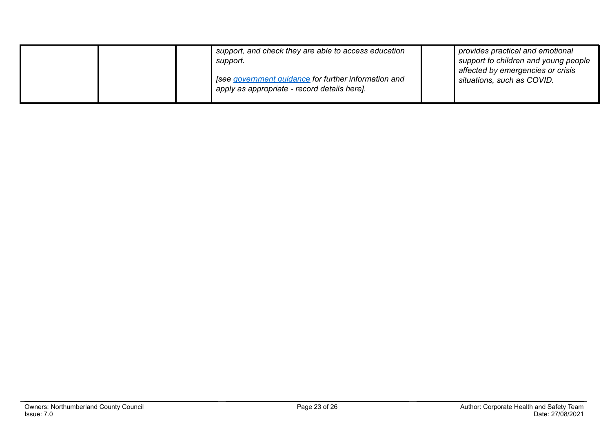|  | support, and check they are able to access education<br>support.<br>' [see government guidance for further information and<br>apply as appropriate - record details here]. | provides practical and emotional<br>support to children and young people<br>affected by emergencies or crisis<br>situations, such as COVID. |
|--|----------------------------------------------------------------------------------------------------------------------------------------------------------------------------|---------------------------------------------------------------------------------------------------------------------------------------------|
|  |                                                                                                                                                                            |                                                                                                                                             |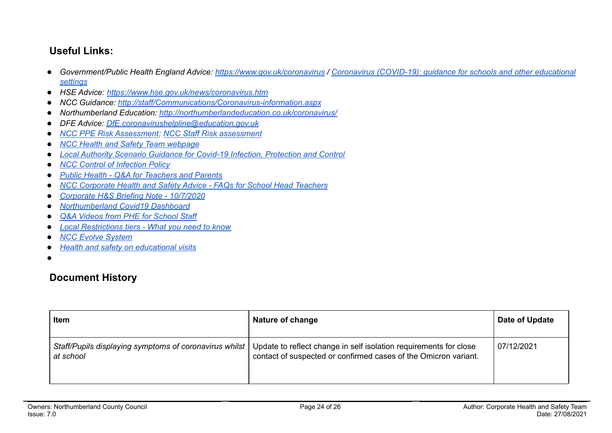## **Useful Links:**

- Government/Public Health England Advice: <https://www.gov.uk/coronavirus> / Coronavirus [\(COVID-19\):](https://www.gov.uk/government/collections/coronavirus-covid-19-guidance-for-schools-and-other-educational-settings) guidance for schools and other educational *[settings](https://www.gov.uk/government/collections/coronavirus-covid-19-guidance-for-schools-and-other-educational-settings)*
- *● HSE Advice: <https://www.hse.gov.uk/news/coronavirus.htm>*
- *● NCC Guidance: <http://staff/Communications/Coronavirus-information.aspx>*
- *● Northumberland Education: <http://northumberlandeducation.co.uk/coronavirus/>*
- *● DFE Advice: [DfE.coronavirushelpline@education.gov.uk](mailto:DfE.coronavirushelpline@education.gov.uk)*
- *● NCC PPE Risk [Assessment;](https://drive.google.com/open?id=1sUlE_jdLkBZdI43kOR6mYCzaiKlTeRzGkODE3qshrr4) NCC Staff Risk [assessment](https://docs.google.com/document/d/1GFWU1_ox_k5SlXHhDfxdwa_gNnBlCM60NNhXjr7Kf40/edit)*
- *● NCC Health and Safety Team [webpage](https://www.northumberland.gov.uk/About/Staff.aspx#staffhealthsafety)*
- *● Local Authority Scenario Guidance for Covid-19 Infection, [Protection](https://docs.google.com/document/d/1v4ujp1l1zuF89TqDOED7T1kucMSPPyLnLQwor2CHq08/edit) and Control*
- *● NCC Control of [Infection](https://www.northumberland.gov.uk/NorthumberlandCountyCouncil/media/About-the-Council/Staff%20Information/Health%20and%20safety/Policy%20Documents%20and%20Guidance/Control-of-Infection-Policy-August-2013-HR-Policy.docx) Policy*
- *● Public Health - Q&A for [Teachers](https://drive.google.com/file/d/17XV-sP7aRNuW59JxoHV6YQzh62rm1wRZ/view?usp=sharing) and Parents*
- *● NCC [Corporate](https://northumberland365.sharepoint.com/:w:/s/StaffPortal/EZ8UvoW88aZCi74_cavsuuIBWlHIpnJFVMVn1mM_pulI3Q) Health and Safety Advice - FAQs for School Head Teachers*
- *● [Corporate](https://docs.google.com/document/d/1qs4cbslP43wLz5MsoDJZ7OCTo_1AyQq76kXIc_KYhls/edit) H&S Briefing Note - 10/7/2020*
- *● [Northumberland](https://public.tableau.com/profile/julian5701#!/vizhome/COVID-19inNorthumberland/Introduction) Covid19 Dashboard*
- *Q&A Videos from PHE for [School](https://northumberlandeducation.co.uk/qa-videos-to-help-school-staff-2/) Staff*
- **●** *Local [Restrictions](https://www.gov.uk/guidance/local-restriction-tiers-what-you-need-to-know) tiers - What you need to know*
- **●** *NCC Evolve [System](https://evolve.edufocus.co.uk/evco10/evchome_public.asp?domain=northumberlandvisits.org.uk)*
- **●** *Health and safety on [educational](https://www.gov.uk/government/publications/health-and-safety-on-educational-visits/health-and-safety-on-educational-visits) visits*
- ●

## **Document History**

| Item                                                                  | Nature of change                                                                                                                     | Date of Update |
|-----------------------------------------------------------------------|--------------------------------------------------------------------------------------------------------------------------------------|----------------|
| Staff/Pupils displaying symptoms of coronavirus whilst  <br>at school | Update to reflect change in self isolation requirements for close<br>contact of suspected or confirmed cases of the Omicron variant. | 07/12/2021     |